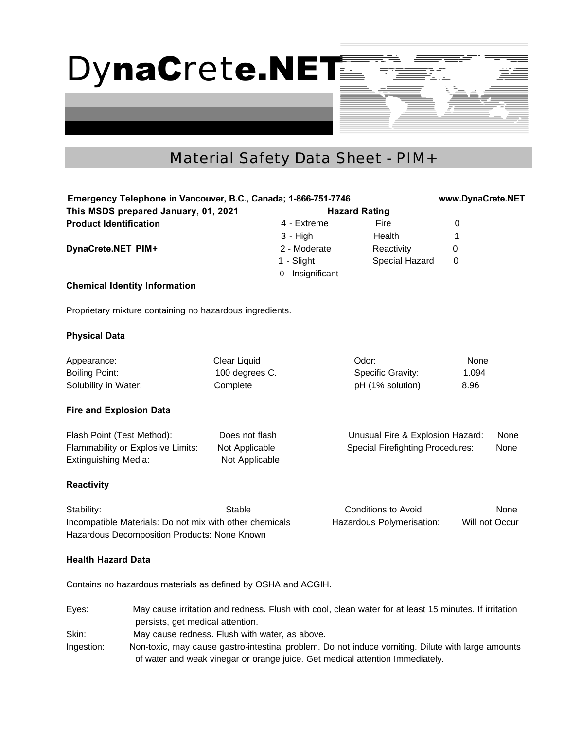DynaCrete.NET

## Material Safety Data Sheet - PIM+

| Emergency Telephone in Vancouver, B.C., Canada; 1-866-751-7746<br>This MSDS prepared January, 01, 2021<br><b>Hazard Rating</b> |                                                                                                                                                                                    |                |                   |                                          | www.DynaCrete.NET |                |
|--------------------------------------------------------------------------------------------------------------------------------|------------------------------------------------------------------------------------------------------------------------------------------------------------------------------------|----------------|-------------------|------------------------------------------|-------------------|----------------|
|                                                                                                                                |                                                                                                                                                                                    |                |                   |                                          |                   |                |
| <b>Product Identification</b>                                                                                                  |                                                                                                                                                                                    |                | 4 - Extreme       | Fire                                     | 0                 |                |
|                                                                                                                                |                                                                                                                                                                                    |                | $3 - High$        | Health                                   | 1                 |                |
| DynaCrete.NET PIM+                                                                                                             |                                                                                                                                                                                    |                | 2 - Moderate      | Reactivity                               | 0                 |                |
|                                                                                                                                |                                                                                                                                                                                    |                | 1 - Slight        | Special Hazard                           | 0                 |                |
|                                                                                                                                |                                                                                                                                                                                    |                | 0 - Insignificant |                                          |                   |                |
|                                                                                                                                | <b>Chemical Identity Information</b>                                                                                                                                               |                |                   |                                          |                   |                |
|                                                                                                                                | Proprietary mixture containing no hazardous ingredients.                                                                                                                           |                |                   |                                          |                   |                |
| <b>Physical Data</b>                                                                                                           |                                                                                                                                                                                    |                |                   |                                          |                   |                |
| Appearance:                                                                                                                    |                                                                                                                                                                                    | Clear Liquid   |                   | Odor:                                    | None              |                |
| <b>Boiling Point:</b>                                                                                                          |                                                                                                                                                                                    | 100 degrees C. |                   | Specific Gravity:                        | 1.094             |                |
| Solubility in Water:                                                                                                           |                                                                                                                                                                                    | Complete       |                   | pH (1% solution)                         | 8.96              |                |
|                                                                                                                                | <b>Fire and Explosion Data</b>                                                                                                                                                     |                |                   |                                          |                   |                |
| Flash Point (Test Method):                                                                                                     |                                                                                                                                                                                    | Does not flash |                   | None<br>Unusual Fire & Explosion Hazard: |                   |                |
| Flammability or Explosive Limits:                                                                                              |                                                                                                                                                                                    | Not Applicable |                   | <b>Special Firefighting Procedures:</b>  |                   | None           |
| <b>Extinguishing Media:</b>                                                                                                    |                                                                                                                                                                                    | Not Applicable |                   |                                          |                   |                |
| <b>Reactivity</b>                                                                                                              |                                                                                                                                                                                    |                |                   |                                          |                   |                |
| Stability:                                                                                                                     |                                                                                                                                                                                    | Stable         |                   | Conditions to Avoid:                     |                   | None           |
| Incompatible Materials: Do not mix with other chemicals<br>Hazardous Decomposition Products: None Known                        |                                                                                                                                                                                    |                |                   | Hazardous Polymerisation:                |                   | Will not Occur |
| <b>Health Hazard Data</b>                                                                                                      |                                                                                                                                                                                    |                |                   |                                          |                   |                |
|                                                                                                                                | Contains no hazardous materials as defined by OSHA and ACGIH.                                                                                                                      |                |                   |                                          |                   |                |
| Eyes:                                                                                                                          | May cause irritation and redness. Flush with cool, clean water for at least 15 minutes. If irritation<br>persists, get medical attention.                                          |                |                   |                                          |                   |                |
| Skin:                                                                                                                          | May cause redness. Flush with water, as above.                                                                                                                                     |                |                   |                                          |                   |                |
| Ingestion:                                                                                                                     | Non-toxic, may cause gastro-intestinal problem. Do not induce vomiting. Dilute with large amounts<br>of water and weak vinegar or orange juice. Get medical attention Immediately. |                |                   |                                          |                   |                |
|                                                                                                                                |                                                                                                                                                                                    |                |                   |                                          |                   |                |